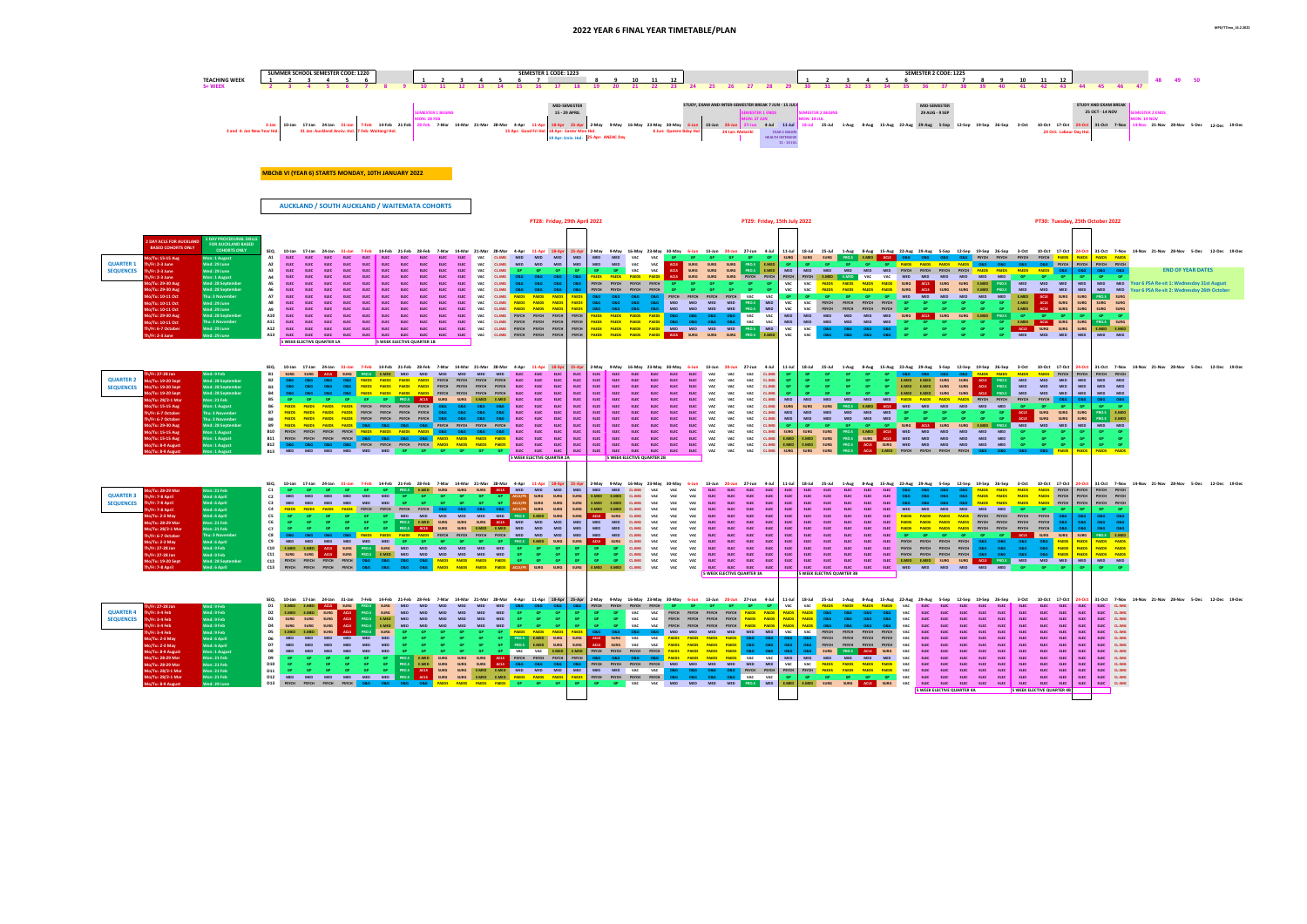## **2022 YEAR 6 FINAL YEAR TIMETABLE/PLAN MPD/TTimo\_16.2.2022**

|                                                            |                                                                                                                                                                                                                                                                              | SUMMER SCHOOL SEMESTER CODE: 1220                                                                                                                     |                                                                                                                                                                                                                                                                                                                                                                                                                                                                                                                      | SEMESTER 1 CODE: 1223                                                                                                                                                                                                                                                                                                                                                                                                                                                                                                                                                                  |                                                                                                                                                                                                                                                                                                                                                                                                                                                                                                                                                                                                                                                        | SEMESTER 2 CODE: 1225                                                                                                                                                                                                                                                                                                                                                                                                                                       |                                                                                                                                                                                                                                                                        |
|------------------------------------------------------------|------------------------------------------------------------------------------------------------------------------------------------------------------------------------------------------------------------------------------------------------------------------------------|-------------------------------------------------------------------------------------------------------------------------------------------------------|----------------------------------------------------------------------------------------------------------------------------------------------------------------------------------------------------------------------------------------------------------------------------------------------------------------------------------------------------------------------------------------------------------------------------------------------------------------------------------------------------------------------|----------------------------------------------------------------------------------------------------------------------------------------------------------------------------------------------------------------------------------------------------------------------------------------------------------------------------------------------------------------------------------------------------------------------------------------------------------------------------------------------------------------------------------------------------------------------------------------|--------------------------------------------------------------------------------------------------------------------------------------------------------------------------------------------------------------------------------------------------------------------------------------------------------------------------------------------------------------------------------------------------------------------------------------------------------------------------------------------------------------------------------------------------------------------------------------------------------------------------------------------------------|-------------------------------------------------------------------------------------------------------------------------------------------------------------------------------------------------------------------------------------------------------------------------------------------------------------------------------------------------------------------------------------------------------------------------------------------------------------|------------------------------------------------------------------------------------------------------------------------------------------------------------------------------------------------------------------------------------------------------------------------|
|                                                            | <b>TEACHING WEEK</b><br>S+WEEK                                                                                                                                                                                                                                               | $\overline{a}$<br>- 6                                                                                                                                 |                                                                                                                                                                                                                                                                                                                                                                                                                                                                                                                      | $\overline{z}$<br>12<br>10<br>11<br>19<br>22<br>-23<br>-21                                                                                                                                                                                                                                                                                                                                                                                                                                                                                                                             | 27<br>28 29<br>- 25<br>-26<br>- 30<br>-31                                                                                                                                                                                                                                                                                                                                                                                                                                                                                                                                                                                                              | 11<br>10<br>41<br>42                                                                                                                                                                                                                                                                                                                                                                                                                                        | 12<br>49<br>45<br>-46<br>-43                                                                                                                                                                                                                                           |
|                                                            |                                                                                                                                                                                                                                                                              | 10-Jan 17-Jan 24-Jan 31-Jan 7-Feb 14-Feb 21-Feb<br>3-Jar<br>3 and 4: Jan New Year H<br>31 Jan: Auckland Anniv. Hol. 7 Feb: Waitangi Hol.              | <b>EMESTER 1 BEGINS</b><br><b>ION: 28 FFB</b>                                                                                                                                                                                                                                                                                                                                                                                                                                                                        | <b>MID-SEMESTER</b><br>15 - 29 APRIL<br>28-Feb 7-Mar 14-Mar 21-Mar 28-Mar 4-Apr 11-Apr 18-Apr 25-Apr 2-May 9-May 16-May 23-May 30-May 6-Jun 13-Jun 20-Jun 27-Jun<br>15 Apr: Good Fri Hol. 18 Apr: Easter Mon Hol.<br>6 Jun: Queens Bday Hol.<br>19 Apr: Univ. Hol. 25 Apr: ANZAC Day                                                                                                                                                                                                                                                                                                   | STUDY, EXAM AND INTER-SEMESTER BREAK 7 JUN - 15 JULY<br><b>MESTER 1 ENDS</b><br><b>SEMESTER 2 BEGINS</b><br><b>JON: 18 JUL</b><br>4-Jul 11-Jul<br>24 Jun: Matariki<br>YEAR 2 MAORI<br><b>HEALTH INTENSIVE</b><br>11 - 14 JUL                                                                                                                                                                                                                                                                                                                                                                                                                           | <b>MID-SEMESTER</b><br>29 AUG - 9 SEP<br>18-Jul 25-Jul 1-Aug 8-Aug 15-Aug 22-Aug 29-Aug 5-Sep 12-Sep 19-Sep 26-Sep<br>3-Oct                                                                                                                                                                                                                                                                                                                                 | <b>STUDY AND EXAM BREAK</b><br>25 OCT - 14 NOV<br><b>MESTER 2 ENDS</b><br><b>ON: 14 NOV</b><br>10-Oct 17-Oct 24-Oct 31-Oct 7-Nov<br>14-Nov 21-Nov 28-Nov 5-Dec 12-Dec 19-De<br>24 Oct: Labour Day H                                                                    |
|                                                            |                                                                                                                                                                                                                                                                              | <b>MBChB VI (YEAR 6) STARTS MONDAY, 10TH JANUARY 2022</b><br><b>AUCKLAND / SOUTH AUCKLAND / WAITEMATA COHORTS</b>                                     |                                                                                                                                                                                                                                                                                                                                                                                                                                                                                                                      |                                                                                                                                                                                                                                                                                                                                                                                                                                                                                                                                                                                        |                                                                                                                                                                                                                                                                                                                                                                                                                                                                                                                                                                                                                                                        |                                                                                                                                                                                                                                                                                                                                                                                                                                                             |                                                                                                                                                                                                                                                                        |
|                                                            |                                                                                                                                                                                                                                                                              |                                                                                                                                                       |                                                                                                                                                                                                                                                                                                                                                                                                                                                                                                                      | PT28: Friday, 29th April 2022                                                                                                                                                                                                                                                                                                                                                                                                                                                                                                                                                          | PT29: Friday, 15th July 2022                                                                                                                                                                                                                                                                                                                                                                                                                                                                                                                                                                                                                           |                                                                                                                                                                                                                                                                                                                                                                                                                                                             | PT30: Tuesday, 25th October 2022                                                                                                                                                                                                                                       |
| <b>QUARTER 1</b><br><b>SEQUENCES</b>                       | L DAY PROCEDURAL SKILLS<br><b>DAY ACLS FOR AUCKLAND</b><br><b>FOR AUCKLAND BASED</b><br><b>BASED COHORTS ONLY</b><br><b>COHORTS ONLY</b><br>Mon: 1 August<br>o/Tu: 15-15 Aug<br>Wed: 29 June<br>/Fr: 2-3 June<br>Wed: 29 June<br>/Fr: 2-3 June                               | SEO.<br><b>A1</b><br><b>A2</b><br><b>A3</b>                                                                                                           | 4-Apr<br><b>MED</b>                                                                                                                                                                                                                                                                                                                                                                                                                                                                                                  | 11-Apr 18-Apr<br>25-Apr 2-May 9-May 16-May 23-May 30-May 6-Jun 13-Jun 20-Jun 27-Jun 4-Jul<br><b>MED</b><br><b>MED</b><br>MED MED<br>VAC<br><b>MED</b><br>VAC<br>MED<br><b>MED</b><br><b>MED</b><br><b>MED</b><br>VAC<br>VAC<br>ACLS<br><b>MED</b><br>VAC<br>ACLS<br><b>VAC</b><br><b>GP</b><br>GP <sub>1</sub>                                                                                                                                                                                                                                                                         | 11-Jul<br>SURG<br>SURG PRO.S E.MED<br><b>GP</b> GP GP<br><b>GP GP GP</b><br><b>SURG</b><br>PRO.S E.MED<br><b>SURG</b><br><b>SURG</b><br>GP.<br><b>SURG</b><br>SURG<br><b>SURG</b><br>PRO.S E.MED<br><b>SURG</b><br>MED<br><b>MED</b><br><b>MED</b><br><b>MED</b><br><b>MED</b>                                                                                                                                                                                                                                                                                                                                                                         | 18-Jul 25-Jul 1-Aug 8-Aug 15-Aug 22-Aug 29-Aug 5-Sep 12-Sep 19-Sep 26-Sep 3-Oct 10-Oct 17-Oct<br>O&G PSYCH PSYCH PSYCH PSYCH PAEDS<br>O&G O&G PSYCH<br><b>PAEDS PAEDS</b><br>PSYCH<br><b>PAEDS PAEDS</b><br><b>PAEDS</b><br><b>MED</b><br><b>PAEDS</b>                                                                                                                                                                                                      | 24-Oct 31-Oct 7-Nov 14-Nov 21-Nov 28-Nov 5-Dec 12-Dec 19-De<br><b>PAFDS</b><br><b>PAFDS</b> PAFDS<br>PSYCH PSYCH PSYCH<br><b>END OF YEAR DATES</b><br>O & G<br><b>O&amp;G</b><br><b>O&amp;G 0&amp;G</b>                                                                |
|                                                            | Mon: 1 August<br>$1/Fr: 2-3 June$<br>o/Tu: 29-30 Aug<br>Wed: 28 Septembe<br>o/Tu: 29-30 Aug<br>Wed: 28 September<br>Thu: 3 November<br>lo/Tu: 10-11 Oct<br>o/Tu: 10-11 Oct<br>Wed: 29 June                                                                                   | <b>A5</b>                                                                                                                                             | <b>PAEDS</b>                                                                                                                                                                                                                                                                                                                                                                                                                                                                                                         | <b>PAEDS</b><br><b>PAEDS</b><br><b>ACLS</b><br><b>PAEDS</b><br><b>PAEDS</b><br><b>O&amp;G</b><br><b>PSYCH</b><br>PSYCH<br><b>PSYCH</b><br>PSYCH<br><b>PSYCH</b><br><b>PSYCH</b><br>PSYCH<br>PAEDS<br><b>PAEDS</b><br>PSYCH<br><b>PAEDS PAEDS</b><br>PAEDS                                                                                                                                                                                                                                                                                                                              | SURG<br>PSYCH<br><b>SURG</b><br><b>SURG</b><br><b>PSYCH</b><br>PSYCH<br><b>PSYCH</b><br>E.MED<br>VAC<br>VAC<br>VAC<br><b>PAEDS</b><br>VAC<br>GP.<br>GP<br>VAC<br>VAC<br>VAC<br><b>PSYCH</b><br>PSYCH<br><b>PSYCH</b><br>GP.<br>MED <b>T</b><br><b>MED</b><br><b>MFD</b><br><b>MED</b><br>PRO.S<br>VAC                                                                                                                                                                                                                                                                                                                                                  | VAC<br><b>MED</b><br><b>MED</b><br>MED<br><b>MED</b><br><b>MED</b><br><b>MED</b><br><b>SURG</b><br>E.MED<br><b>PAEDS</b><br><b>SURG</b><br>ACLS<br><b>SURG</b><br>PRO.S<br><b>MED</b><br><b>MED</b><br>SURG  <br><b>ACLS</b><br><b>SURG</b><br><b>MED</b><br><b>MED</b><br><b>SURG</b><br>E.MED<br>PRO.S<br><b>MED</b><br><b>GP</b><br><b>MED</b><br><b>MED</b><br>MED<br><b>MED</b><br><b>MED</b><br>E.MED<br><b>ACLS</b><br>ACLS<br>E.MED<br>GP.          | GP <sub>1</sub><br><b>MED</b><br><b>MED</b><br>MED MED Year 6 PSA Re-sit 1: Wednesday 31st August<br><b>MED</b><br><b>MED</b><br>MED MED<br>Year 6 PSA Re-sit 2: Wednesday 26th Octobe<br><b>SURG</b><br>SURG<br><b>PRO.S</b> SURG<br>SURG<br><b>SURG</b><br>SURG SURG |
|                                                            | Wed: 29 June<br>o/Tu: 10-11 Oct<br>Wed: 28 September<br>Mo/Tu: 29-30 Aug<br>Thu: 3 November<br>Mo/Tu: 10-11 Oct<br>Wed: 29 June<br>h/Fr: 6-7 October<br>Ned: 29 June<br>Th/Fr: 2-3 June                                                                                      | <b>A9</b><br>A10<br>A11<br>A12<br>A13<br><b>ELEC</b><br><b>ELEC</b><br><b>ELEC</b><br><b>ELEC</b><br><b>ELEC</b><br><b>5 WEEK ELECTIVE QUARTER 1A</b> | FLFC.<br>FLFC.<br>VAC<br>CLIMG.<br><b>PSYCH</b><br>VAC<br>CLIMG PSYCH PSYCH PSYCH<br><b>ELEC</b><br><b>ELEC</b><br><b>ELEC</b><br><b>ELEC</b><br><b>ELEC</b><br><b>5 WEEK ELECTIVE QUARTER 1B</b>                                                                                                                                                                                                                                                                                                                    | <b>PAEDS PAEDS</b><br><b>PAEDS</b><br>PSYCH PSYCH<br>PSYCH<br><b>PAEDS</b><br><b>PAFDS</b><br><b>PAEDS</b><br><b>PAEDS</b><br>PSYCH<br><b>PAFDS</b><br><b>PAEDS</b><br>O&G.<br>PSYCH<br><b>PAFDS</b><br><b>PAEDS</b><br>PSYCH PSYCH<br><b>PSYCH</b><br>PAEDS PAEDS PAEDS PAEDS ACLS<br><b>PSYCH</b>                                                                                                                                                                                                                                                                                    | VAC<br><b>MED</b><br><b>MED</b><br>PRO.S<br><b>MED</b><br>VAC<br><b>MED</b><br>MED<br>VAC<br><b>VAC</b><br><b>MED</b><br><b>MED</b><br><b>MED</b><br>MED<br>VAC<br>VAC<br>$\sf MED$<br>MED<br><b>O&amp;G</b><br><b>D&amp;G</b><br>0.86<br><b>MED</b><br><b>MED</b><br>PAEDS PAEDS PAEDS PAEDS MED MED MED MED PRO.S MED<br>VAC<br>VAC<br><b>O&amp;G</b><br>0.8G<br><b>O&amp;G</b><br>PRO.S E.MED<br>VAC<br>SURG SURG SURG<br>VAC  <br><b>O&amp;G</b><br>08G<br>0.86                                                                                                                                                                                    | E.MED ACLS<br>GP <sub>1</sub><br><b>SURG</b><br><b>MED</b><br><b>SURG</b><br><b>ACLS</b><br><b>SURG</b><br><b>SURG</b><br><b>E.MED PRO.S</b><br>GP -<br>GP <sub>1</sub><br>MED<br>$-GP$<br>GP.<br>GP.<br>GP <sub>1</sub><br>GP <sub>1</sub><br>GP -<br>E.MED<br>ACLS SURG<br>ACLS SURG SURG<br><b>O&amp;G</b><br>GP <sub>1</sub><br><b>GP</b><br>GP <sub>1</sub><br>GP <sub>1</sub><br>GP .<br>GP MED MED MED<br>GP.<br>GP.<br>GP.<br>086                   | SURG<br>SURG SURG<br>PRO.S SURG<br><b>SURG</b><br>SURG E.MED E.MED<br><b>MED</b><br>MED MED                                                                                                                                                                            |
| QUARTER 2 Mo/Tu: 19-20 Sept<br>SEQUENCES Mo/Tu: 19-20 Sept | /Fr: 27-28 Jan<br>Wed: 9 Feb<br>Wed: 28 September<br>Wed: 28 September<br>Wed: 28 September<br>1o/Tu: 19-20 Sept<br>Mon: 21 Feb<br>Mo/Tu: 28/2-1 Mar                                                                                                                         | 10-Jan<br>ACLS SURG PRO.S<br><b>B1</b><br><b>B2</b><br><b>B3</b><br>280<br><b>B4</b><br><b>B5</b>                                                     | 17-Jan 24-Jan 31-Jan 7-Feb 14-Feb 21-Feb 28-Feb 7-Mar 14-Mar 21-Mar 28-Mar<br>4-Apr<br>ELEC<br><b>ELEC</b><br>ELEC<br><b>ELEC</b><br>ELEC <sub>1</sub><br>E.MED E.MED<br><b>ACLS</b><br><b>SURG</b><br><b>PROS</b><br><b>SURG</b>                                                                                                                                                                                                                                                                                    | 11-Apr 18-Apr<br>2-May<br>30-May<br>9-May<br>16-May 23-May<br>ELEC<br>ELEC<br>ELEC<br>ELEC<br>ELEC<br><b>ELEC</b><br>ELEC<br><b>ELEC</b><br>ELEC<br>ELEC<br>ELEC<br><b>ELEC</b><br>ELEC<br>ELEC<br>ELEC<br>ELEC<br>FLFC.<br>FLFC.<br>FLFC.<br>FLFC.<br>FLFC<br>FLFC.<br>FIFC.<br>FIFC.                                                                                                                                                                                                                                                                                                 | 27-Jun<br>4-Jul<br>$11-Jul$<br>18-Jul<br>13-Jun<br>VAC<br>VAC<br><b>CL.IMG</b><br><b>GP</b><br>VAC<br><b>GP</b><br>VAC<br>VAC<br><b>ELEC</b><br><b>VAC</b><br>VAC.<br>CLIMG.<br><b>MED</b><br><b>MFD</b><br><b>MFD</b><br><b>MFD</b>                                                                                                                                                                                                                                                                                                                                                                                                                   | 3-Oct 10-Oct 17-Oct<br>8-Aug 15-Aug 22-Aug 29-Aug 5-Sep 12-Sep 19-Sep 26-Sep<br><b>PAFDS PAFDS</b><br><b>PAEDS</b><br>PSYCH<br><b>PAFDS</b><br>ACLS PRO.S<br><b>MED</b><br><b>MED</b><br><b>SURG</b><br><b>MED</b><br>ACLS PRO.S<br>MED<br><b>SURG</b><br><b>MED</b><br><b>E.MED</b><br><b>SURG</b><br><b>SURG</b><br><b>MED</b><br><b>MED</b><br><b>PAEDS PAEDS</b><br><b>PSYCH</b><br>PSYCH<br><b>PAFDS</b><br><b>PSYCH</b><br><b>MED</b><br><b>PAFDS</b> | 24-Oct 31-Oct 7-Nov 14-Nov 21-Nov 28-Nov 5-Dec 12-Dec<br>PSYCH<br>PSYCH PSYCH<br><b>MED</b><br>MED MED<br><b>MED</b><br><b>MED</b><br>MED MED<br>MED<br><b>MED</b><br>MED MED                                                                                          |
|                                                            | Mon: 1 August<br>Mo/Tu: 15-15 Aug<br>Thu: 3 November<br>Th/Fr: 6-7 October<br>Thu: 3 November<br>Th/Fr: 6-7 October<br>Mo/Tu: 29-30 Aug<br>Wed: 28 September<br>Mo/Tu: 15-15 Aug<br>Mon: 1 August<br>Mo/Tu: 15-15 Aug<br>Mon: 1 August<br>Mo/Tu: 8-9 August<br>Mon: 1 August | <b>PAFDS</b><br><b>PSYCH</b><br><b>B7</b><br>B9 PAFDS<br><b>PAFDS</b><br>B10 PSYCH<br><b>PSYCH</b><br>B11 PSYCH<br>PSYCH<br>PSYCH PSYCH<br><b>B12</b> | ELEC <sub>1</sub><br>PAFDS PAFDS PSYCH PSYCH PSYCH PSYCH<br>0.8G<br><b>O&amp;G</b><br>ELEC <sub>1</sub><br>PSYCH PSYCH<br><b>O&amp;G</b><br>086<br>086<br>PSYCH PSYCH PSYCH PSYCH<br><b>ELEC</b><br>080<br>PSYCH PSYCH<br><b>ELEC</b><br><b>O&amp;G</b><br>O&G PSYCH PSYCH<br><b>O&amp;G</b><br>PSYCH PSYCH PAEDS PAEDS PAEDS PAEDS<br><b>ELEC</b><br>086<br>086<br><b>ELEC</b><br><b>O&amp;G</b><br>O & G<br>O & G<br>PAEDS PAEDS PAEDS<br><b>PAEDS</b><br>O&G PSYCH PSYCH PSYCH PSYCH PAEDS PAEDS PAEDS PAEDS ELEC | FLFC.<br>FLFC.<br>FLFC.<br>FLFC.<br>FLFC.<br>FLFC.<br><b>ELEC</b><br>FLFC.<br>FLFC.<br>FLFC.<br><b>ELEC</b><br>FLFC.<br>FLFC<br>FIFC.<br>FIFC.<br>ELEC<br><b>ELEC</b><br>ELEC<br><b>ELEC</b><br><b>ELEC</b><br><b>ELEC</b><br><b>ELEC</b><br>FLFC<br>ELEC<br>ELEC<br>ELEC<br><b>ELEC</b><br><b>ELEC</b><br><b>ELEC</b><br><b>ELEC</b><br>FLFC<br>ELEC<br><b>ELEC</b><br>ELEC<br><b>ELEC</b><br>ELEC<br><b>ELEC</b><br>ELEC<br>FLFC<br><b>ELEC</b><br>ELEC<br><b>ELEC</b><br>ELEC<br><b>ELEC</b><br>ELEC<br>ELEC<br>ELEC<br>ELEC<br><b>ELEC</b><br>ELEC<br><b>ELEC</b><br>ELEC<br>FLFC. | VAC<br><b>SURG</b><br><b>SURG</b><br>VAC<br>VAC<br><b>MED</b><br><b>MFD</b><br>VAC<br>$_{\rm MED}$<br>VAC<br>VAC<br>CLIMG.<br>VAC<br>VAC<br>VAC<br>CLIMG.<br>GP<br>VAC<br>VAC<br>SURG<br><b>SURG</b><br>PRO.S E.MED<br>CLIMG.<br><b>SURG</b><br>E.MED<br><b>SURG</b><br><b>SURG</b><br>VAC<br>VAC<br><b>CL.IMG</b><br>E.MED<br>PRO.S<br>E.MED<br><b>SURG</b><br>ACLS<br>ELEC<br>VAC<br>VAC<br>VAC<br><b>CLIMG</b><br>E.MED<br>PRO.S                                                                                                                                                                                                                    | MED<br><b>MED</b><br><b>MED</b><br><b>MED</b><br>ACLS:<br><b>MFD</b><br><b>SURG</b><br><b>ACLS</b><br><b>SURG</b><br><b>E.MED</b> PRO.S<br>MED<br><b>MED</b><br><b>SURG</b><br>ACLS<br><b>SURG</b><br><b>SURG</b><br><b>MED</b><br><b>MFD</b><br><b>MED</b><br><b>MED</b><br><b>MFD</b><br><b>MED</b><br>ACLS<br><b>ACLS</b><br><b>MED</b><br><b>MED</b><br><b>SURG</b><br>MED<br><b>MED</b><br><b>MFD</b><br><b>MED</b>                                    | SURG PRO.S E.MED<br><b>SURG</b><br><b>SURG</b><br><b>SURG</b><br>PRO.S E.MED<br><b>MED</b><br><b>MED</b><br>MED MED<br>GP.<br>GP .<br>GP GP                                                                                                                            |
|                                                            | on: 1 August<br>Mo/Tu: 8-9 August                                                                                                                                                                                                                                            |                                                                                                                                                       | $-$ GP $-$<br><b>GP</b><br><b>ELEC</b><br><b>MED</b><br>GP <sub>1</sub><br><b>GP</b>                                                                                                                                                                                                                                                                                                                                                                                                                                 | <b>ELEC</b><br><b>ELEC</b><br><b>ELEC</b><br><b>ELEC</b><br><b>ELEC</b><br><b>ELEC</b><br>ELEC<br>FLFC.<br>5 WEEK ELECTIVE QUARTER 2A<br>5 WEEK ELECTIVE QUARTER 2B                                                                                                                                                                                                                                                                                                                                                                                                                    | ELEC<br>VAC<br>VAC<br>VAC<br>SURG<br><b>SURG</b><br><b>SURG</b>                                                                                                                                                                                                                                                                                                                                                                                                                                                                                                                                                                                        | E.MED<br>PSYCH<br>08G 08G 08G<br><b>PAEDS</b>                                                                                                                                                                                                                                                                                                                                                                                                               | <b>PAEDS</b><br><b>PAEDS PAEDS</b>                                                                                                                                                                                                                                     |
| <b>QUARTER 3</b><br><b>SEQUENCES</b>                       | o/Tu: 28-29 Mar<br>Mon: 21 Feb<br>Wed: 6 April<br>/Fr: 7-8 April<br>Th/Fr: 7-8 April<br>Wed: 6 April<br>Wed: 6 April<br>h/Fr: 7-8 April                                                                                                                                      | SEO.<br>C1<br>C2<br><b>MED</b><br><b>MED</b><br><b>MED</b><br>C3<br><b>MED</b><br>C4<br><b>PAFDS</b><br><b>PAFDS</b>                                  | 17-Jan 24-Jan 31-Jan 7-Feb 14-Feb 21-Feb 28-Feb 7-Mar 14-Mar 21-Mar 28-Mar 4-Apr 11-Apr 18-Apr<br><b>MED</b><br><b>SURG</b><br>ACLS<br><b>ACLS/PS</b><br><b>MED</b><br>- GP<br><b>MED</b><br>GP.<br>ACLS/PS<br><b>PAEDS</b> PSYCH PSYCH PSYCH PSYCH O&G O&G O&G O&G <mark>ACLS/PS</mark>                                                                                                                                                                                                                             | 25-Apr 2-May 9-May 16-May 23-May 30-May 6-Jun 13-Jun 20-Jun 27-Jun 4-Jul<br><b>MED</b><br><b>MED</b><br><b>MED</b><br><b>MFD</b><br>VAC<br><b>MED</b><br><b>CL.IMG</b><br>VAC.<br><b>SURG</b><br><b>SURG</b><br><b>SURG</b><br>E.MED<br>VAC<br><b>CL.IMG</b><br>VAC<br><b>SURG</b><br>E.MED<br>VAC<br><b>SURG</b><br><b>SURG</b><br><b>CL.IMG</b><br>VAC<br>E.MED<br><b>SURG</b><br><b>SURG</b><br>E.MED<br>VAC<br><b>SURG</b><br><b>CLIMG</b><br>VAC<br>E.MED                                                                                                                         | $11$ -Jul<br>18-Jul 25-Jul<br>ELEC<br>ELEC<br><b>ELEC</b><br><b>ELEC</b><br>FIFC.<br><b>FLFC</b><br>FIFO<br>VAC<br><b>ELEC</b><br><b>ELEC</b><br>ELEC<br>ELEC<br>ELEC<br>VAC<br><b>ELEC</b><br>ELEC<br>ELEC<br>ELEC<br><b>ELEC</b><br><b>VAC</b><br>ELEC<br><b>ELEC</b><br>ELEC<br><b>ELEC</b><br>ELEC<br>ELEC<br>ELEC<br>ELEC<br><b>ELEC</b><br>VAC<br>ELEC<br><b>ELEC</b><br>ELEC<br><b>ELEC</b><br>ELEC<br>ELEC<br><b>ELEC</b><br>ELEC<br>ELEC <sub>1</sub>                                                                                                                                                                                         | 1-Aug 8-Aug 15-Aug 22-Aug 29-Aug 5-Sep 12-Sep 19-Sep 26-Sep 3-Oct 10-Oct 17-Oct<br><b>PAEDS PAEDS</b> PSYCH<br><b>ELEC</b><br>O & G<br>O & G<br>086<br><b>PAFDS PAFDS</b><br>PAEDS PAEDS PSYCH<br><b>ELEC</b><br><b>PAEDS</b><br>PAEDS PSYCH<br><b>ELEC</b><br>PAEDS<br><b>PAEDS</b><br>086<br><b>O&amp;G</b><br>ELEC<br><b>MED</b><br>GB <sup>2</sup><br><b>MED</b><br><b>MED</b><br><b>MED</b><br><b>CE GP BY</b><br><b>MED</b><br><b>MED</b>             | 24-Oct 31-Oct 7-Nov 14-Nov 21-Nov 28-Nov 5-Dec 12-Dec 19-De<br>PSYCH PSYCH<br>PSYCH<br>PSYCH PSYCH PSYCH<br>PSYCH PSYCH PSYCH<br>GP -<br>GP GP                                                                                                                         |
|                                                            | Mo/Tu: 2-3 May<br>Wed: 6 April<br>Mo/Tu: 28-29 Mar<br>Mon: 21 Feb<br>Mo/Tu: 28/2-1 Mar<br>Mon: 21 Feb<br>Thu: 3 November<br>h/Fr: 6-7 October<br>Wed: 6 April<br>Mo/Tu: 2-3 May<br>Th/Fr: 27-28 Jan<br>Wed: 9 Feb                                                            | C <sub>5</sub><br>C6<br>C7<br>0&G 0&G 0&G PAEDS PAEDS PAEDS PAEDS<br>MED MED MED MED MED<br><b>MED</b><br>C10 E.MED E.MED ACLS                        | MED<br><b>MED</b><br>MED MED<br>PRO.S E.MED<br><b>MED</b><br><b>MED</b><br>ACLS MED<br><b>PRO.S E.MED</b><br><b>SURG</b><br><b>SURG</b><br><b>SURG</b><br><b>SURG</b><br><b>SURG</b><br>E.MED<br>E.MED<br><b>MED</b><br><b>ACLS</b><br>PSYCH<br>PSYCH<br>PSYCH<br><b>MED</b><br>PSYCH<br>GP PRO.S E.MED SURG<br>SURG PRO.S SURG MED MED<br><b>MED</b><br><b>MED</b><br><b>MED</b><br><b>MED</b><br>GP.                                                                                                               | <b>ACLS</b><br><b>SURG</b><br><b>SURG</b><br><b>CL.IMG</b><br><b>VAC</b><br><b>SURG</b><br>VAC<br><b>MED</b><br><b>MED</b><br><b>MED</b><br><b>MED</b><br>VAC<br>MED<br><b>MED</b><br>MED<br><b>MED</b><br>VAC<br><b>MED</b><br><b>MED</b><br><b>MED</b><br>VAC<br><b>MED</b><br><b>MED</b><br>CL.IMG<br>VAC<br>SURG<br>ACLS  <br><b>CL.IMG</b><br><b>SURG</b><br>VAC<br><b>CL.IMG</b><br><b>VAC</b><br>GP.<br>GP                                                                                                                                                                      | <b>VAC</b><br><b>ELEC</b><br><b>ELEC</b><br>ELEC<br><b>ELEC</b><br><b>ELEC</b><br>ELEC<br>ELEC<br><b>ELEC</b><br><b>ELEC</b><br><b>ELEC</b><br><b>ELEC</b><br>ELEC<br>ELEC<br>VAC<br><b>ELEC</b><br>ELEC<br>ELEC<br>ELEC<br><b>ELEC</b><br><b>ELEC</b><br>ELEC<br>ELEC<br><b>ELEC</b><br>ELEC<br>ELEC<br>ELEC<br>ELEC <sub>1</sub><br>ELEC<br>VAC<br>VAC<br>ELEC<br>ELEC<br>ELEC<br>ELEC<br>ELEC<br><b>ELEC</b><br>ELEC<br>ELEC<br>ELEC<br>ELEC<br>ELEC<br>VAC<br><b>ELEC</b><br>ELEC<br>ELEC<br>ELEC<br>ELEC<br><b>ELEC</b><br>ELEC<br><b>ELEC</b><br>VAC<br><b>ELEC</b><br>ELEC<br>ELEC<br>FIFC.<br>ELEC<br><b>ELEC</b><br>ELEC<br>ELEC <sub>1</sub> | ELEC<br>PSYCH PSYCH PSYCH PSYCH<br>PSYCH PSYCH<br>ELEC<br>PSYCH PSYCH PSYCH PSYCH<br>ELEC<br>GB<br>ACLS SURG SURG<br>GP GP<br><b>ELEC</b><br><b>O&amp;G O&amp;G</b><br>0&G 0&G<br><b>PAEDS</b><br>PSYCH PSYCH PSYCH PSYCH<br>ELEC PSYCH PSYCH PSYCH PSYCH O&G O&G O&G O&G                                                                                                                                                                                   | <b>O&amp;G</b><br><b>O&amp;G</b><br><b>O&amp;G O&amp;G</b><br>PRO.S E.MED<br><b>SURG</b><br><b>PAEDS</b><br><b>PAEDS PAEDS</b><br><b>PAFDS</b><br><b>PAFDS</b> PAFDS<br><b>PAFDS</b>                                                                                   |
|                                                            | Th/Fr: 27-28 Jan<br>Wed: 9 Feb<br>Mo/Tu: 19-20 Sept<br>Wed: 28 September<br>Wed: 6 April<br>Th/Fr: 7-8 April                                                                                                                                                                 | C11<br>SURG SURG<br>C12 PSYCH PSYCH PSYCH PSYCH O&G O&G                                                                                               | ACLS SURG PRO.S E.MED MED MED<br><b>MED</b><br><b>MED</b><br>MED<br><b>MED</b><br>ORG<br>PAEDS PAEDS PAEDS PAEDS GP GP GP                                                                                                                                                                                                                                                                                                                                                                                            | <b>VAC</b><br>GP <sub>1</sub><br>GP <sub>1</sub><br>GP <sub>1</sub><br>GP CL.IMG VAC<br>GP.                                                                                                                                                                                                                                                                                                                                                                                                                                                                                            | <b>VAC</b><br><b>ELEC</b><br><b>ELEC</b><br><b>ELEC</b><br><b>ELEC</b><br>FLFC.<br><b>ELEC</b><br>FIFC.<br><b>ELEC</b><br><b>ELEC</b><br>5 WEEK ELECTIVE QUARTER 3A<br><b>5 WEEK ELECTIVE QUARTER 3B</b>                                                                                                                                                                                                                                                                                                                                                                                                                                               | ELEC PSYCH PSYCH PSYCH PSYCH O&G O&G O&G O&G                                                                                                                                                                                                                                                                                                                                                                                                                | <b>PAEDS PAEDS PAEDS</b><br><b>PAEDS</b><br><b>MED</b><br>MED MED                                                                                                                                                                                                      |
| QUARTER 4 Th/Fr: 3-4 Feb<br><b>SEQUENCES</b>               | h/Fr: 27-28 Jan<br>Wed: 9 Feb<br>Wed: 9 Feb<br>Wed: 9 Feb<br><b>Th/Fr: 3-4 Feb</b><br>$1/Fr: 3-4 Feb$<br>Wed: 9 Feb                                                                                                                                                          |                                                                                                                                                       |                                                                                                                                                                                                                                                                                                                                                                                                                                                                                                                      |                                                                                                                                                                                                                                                                                                                                                                                                                                                                                                                                                                                        | SEQ, 10-Jan 17-Jan 24-Jan 31-Jan 7-Feb 14-Feb 28-Feb 28-Feb 28-Feb 7-Mar 14-Mar 28-Mar 4-Apr 18-Apr 18-Apr 25-Apr 2-May 9-May 30-May 30-May 8-Jun 20-Jun 20-Jun 20-Jun 4-Jul 18-Jul 18-Jul 25-Jul 1-Aug 8-Aug 15-Aug 29-Aug 29                                                                                                                                                                                                                                                                                                                                                                                                                         |                                                                                                                                                                                                                                                                                                                                                                                                                                                             | 24-Oct 31-Oct 7-Nov 14-Nov 21-Nov 28-Nov 5-Dec 12-Dec 19-Dec<br><b>ELEC</b><br>ELEC CLIMG<br>ELEC ELEC CLIMG<br>ELEC<br>ELEC CL.IMG<br>ELEC <sub>1</sub><br>ELEC CL.IMG                                                                                                |
|                                                            | Wed: 9 Feb<br>Th/Fr: 3-4 Feb<br>Mo/Tu: 2-3 May<br>Wed: 6 April<br>Wed: 6 April<br>Mo/Tu: 2-3 May<br>Mo/Tu: 8-9 August<br>Mon: 1 August<br>Mo/Tu: 28-29 Mar<br>Mon: 21 Feb                                                                                                    |                                                                                                                                                       |                                                                                                                                                                                                                                                                                                                                                                                                                                                                                                                      |                                                                                                                                                                                                                                                                                                                                                                                                                                                                                                                                                                                        |                                                                                                                                                                                                                                                                                                                                                                                                                                                                                                                                                                                                                                                        |                                                                                                                                                                                                                                                                                                                                                                                                                                                             | ELEC  <br>ELEC CL.IMG<br>ELEC ELEC CLIMG<br>ELEC  <br>ELEC CLIMG<br>ELEC <sub>1</sub><br>ELEC CLIMG<br>ELEC ELEC CLIMG                                                                                                                                                 |
|                                                            | Mo/Tu: 28-29 Mar<br>Mon: 21 Feb<br>Mo/Tu: 28/2-1 Mar<br>Mon: 21 Feb<br>Mon: 21 Feb<br>Mo/Tu: 28/2-1 Mar<br>Wed: 29 June<br>Mo/Tu: 8-9 August                                                                                                                                 |                                                                                                                                                       |                                                                                                                                                                                                                                                                                                                                                                                                                                                                                                                      |                                                                                                                                                                                                                                                                                                                                                                                                                                                                                                                                                                                        |                                                                                                                                                                                                                                                                                                                                                                                                                                                                                                                                                                                                                                                        | 5 WEEK ELECTIVE QUARTER 4A SERIES TO BE A STATE OUT AND THE STATE OF A STATE OF A STATE OF A STATE OF A STATE OF A STATE OF A STATE OF A STATE OF A STATE OF A STATE OF A STATE OF A STATE OF A STATE OF A STATE OF A STATE OF                                                                                                                                                                                                                              | ELEC ELEC CLIMG<br>ELEC <sub>1</sub><br>ELEC CLIMG<br>ELEC ELEC CLIMG<br>ELEC ELEC CL.IMG                                                                                                                                                                              |
|                                                            |                                                                                                                                                                                                                                                                              |                                                                                                                                                       |                                                                                                                                                                                                                                                                                                                                                                                                                                                                                                                      |                                                                                                                                                                                                                                                                                                                                                                                                                                                                                                                                                                                        |                                                                                                                                                                                                                                                                                                                                                                                                                                                                                                                                                                                                                                                        |                                                                                                                                                                                                                                                                                                                                                                                                                                                             |                                                                                                                                                                                                                                                                        |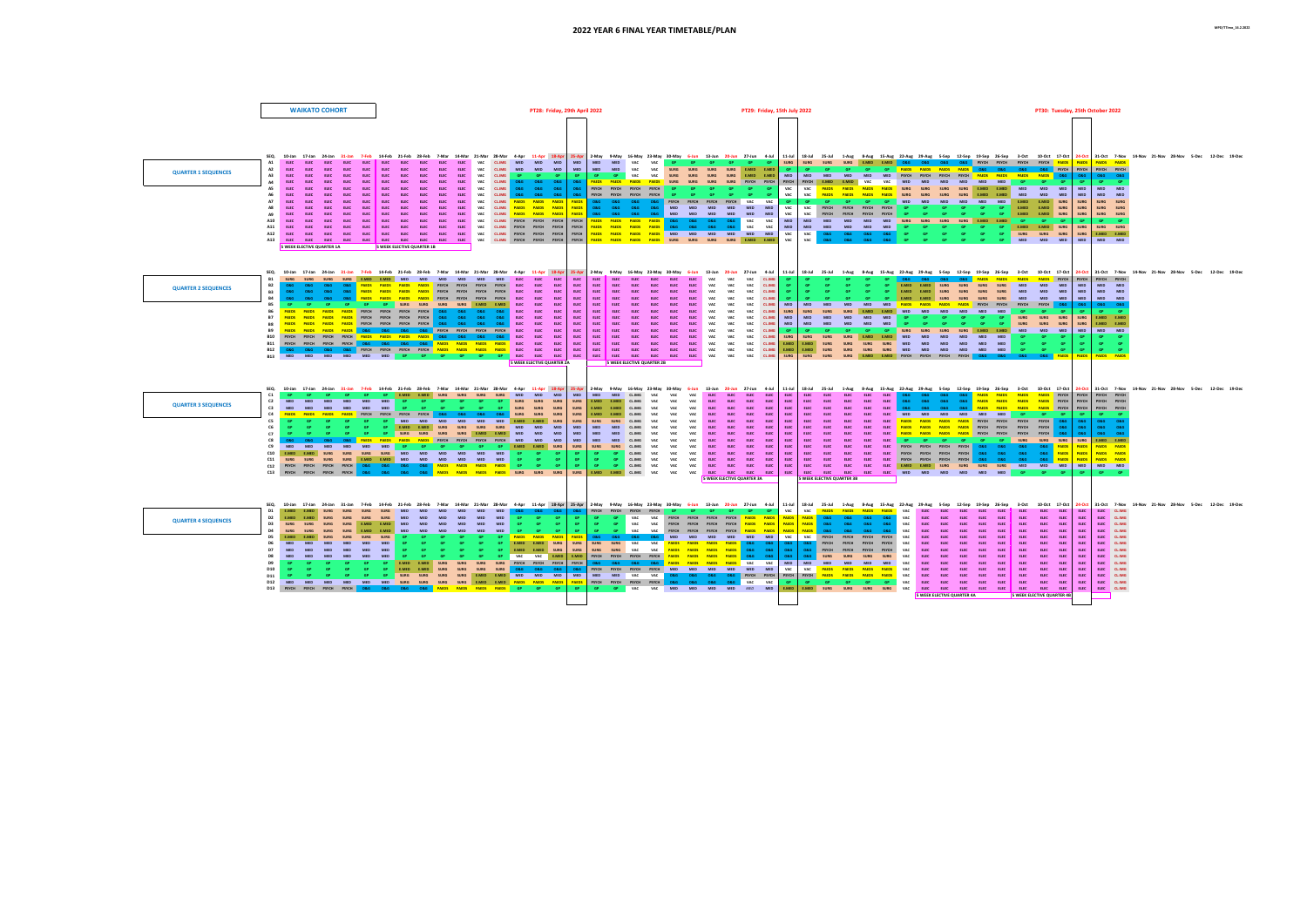|  | PT30: Tuesday, 25th October 2022 |  |  |  |
|--|----------------------------------|--|--|--|
|--|----------------------------------|--|--|--|

|                            | <b>WAIKATO COHORT</b>                                                                                                                                                                                                                                                                                                                                                                                                                  | PT28: Friday, 29th April 2022                                                                                                                                                                                                                                                                                                                                                                                                                                                                                                                                                                                                                                                                                                                                                                                                                                                                                                                                                                                                                                                                                                                                                                                                                                                                                                                                                                                                                                                        | PT29: Friday, 15th July 2022                                                                                                                                                                                                                                                                                                                                                                                                                                                                                                                                                                                                                                                                                                                                                                                                                                                                                                                                                                                                                                                                                                                                                                                     | PT30: Tuesday, 25th October 2022                                                                                                                                                                                                                                                                                                                                                                                                                                                                                                                                                                                                                                                                                                                                                                                                                                                                                                                                                                                                                                                                                                                                                                                                                                                                                                                                                                                                                                                                                                                                                 |
|----------------------------|----------------------------------------------------------------------------------------------------------------------------------------------------------------------------------------------------------------------------------------------------------------------------------------------------------------------------------------------------------------------------------------------------------------------------------------|--------------------------------------------------------------------------------------------------------------------------------------------------------------------------------------------------------------------------------------------------------------------------------------------------------------------------------------------------------------------------------------------------------------------------------------------------------------------------------------------------------------------------------------------------------------------------------------------------------------------------------------------------------------------------------------------------------------------------------------------------------------------------------------------------------------------------------------------------------------------------------------------------------------------------------------------------------------------------------------------------------------------------------------------------------------------------------------------------------------------------------------------------------------------------------------------------------------------------------------------------------------------------------------------------------------------------------------------------------------------------------------------------------------------------------------------------------------------------------------|------------------------------------------------------------------------------------------------------------------------------------------------------------------------------------------------------------------------------------------------------------------------------------------------------------------------------------------------------------------------------------------------------------------------------------------------------------------------------------------------------------------------------------------------------------------------------------------------------------------------------------------------------------------------------------------------------------------------------------------------------------------------------------------------------------------------------------------------------------------------------------------------------------------------------------------------------------------------------------------------------------------------------------------------------------------------------------------------------------------------------------------------------------------------------------------------------------------|----------------------------------------------------------------------------------------------------------------------------------------------------------------------------------------------------------------------------------------------------------------------------------------------------------------------------------------------------------------------------------------------------------------------------------------------------------------------------------------------------------------------------------------------------------------------------------------------------------------------------------------------------------------------------------------------------------------------------------------------------------------------------------------------------------------------------------------------------------------------------------------------------------------------------------------------------------------------------------------------------------------------------------------------------------------------------------------------------------------------------------------------------------------------------------------------------------------------------------------------------------------------------------------------------------------------------------------------------------------------------------------------------------------------------------------------------------------------------------------------------------------------------------------------------------------------------------|
|                            |                                                                                                                                                                                                                                                                                                                                                                                                                                        | 17-Jan 24-Jan 31-Jan 7-Feb 14-Feb 21-Feb 28-Feb 7-Mar 14-Mar 21-Mar 28-Mar 4-Apr 11-Apr 18-Apr 25-Apr 2-May 9-May 18-May 23-May 30-May 6-Jun 13-Jun 20-Jun 27-Jun 4-Jul 11-Jul<br>CL.IMG MED MED MED<br>$E = 50$                                                                                                                                                                                                                                                                                                                                                                                                                                                                                                                                                                                                                                                                                                                                                                                                                                                                                                                                                                                                                                                                                                                                                                                                                                                                     | MED MED MED VAC VAC GP GP GP GP GP GP<br><b>SURG</b>                                                                                                                                                                                                                                                                                                                                                                                                                                                                                                                                                                                                                                                                                                                                                                                                                                                                                                                                                                                                                                                                                                                                                             | 18-Jul 25-Jul 1-Aug 8-Aug 15-Aug 22-Aug 29-Aug 5-Sep 12-Sep 19-Sep 26-Sep 3-Oct 10-Oct 17-Oct 24-Oct 31-Oct 7-Nov 14-Nov 21-Nov 28-Nov 5-Dec 12-Dec 19-De<br>SURG SURG SURG E.MED E.MED O&G O&G O&G O&G PSYCH PSYCH PSYCH PSYCH PAEDS<br><b>PAEDS</b> PAEDS<br><b>DAEDS</b>                                                                                                                                                                                                                                                                                                                                                                                                                                                                                                                                                                                                                                                                                                                                                                                                                                                                                                                                                                                                                                                                                                                                                                                                                                                                                                      |
| <b>OUARTER 1 SEQUENCES</b> | A2<br>A3<br>E150<br><b>FLEC</b><br><b>FLEC</b><br>AA<br>FLFC.<br><b>ELEC</b><br><b>FLFC</b><br><b>FIEC</b><br><b>CORP.</b><br><b>FLEC</b><br><b>FIRE</b><br><b>ELEC</b><br>FLFC.<br>FIFC.<br>$F = F = F$<br>FLFC.<br>FIFC.<br>- FLEC 1<br>AQ<br><b>FLEC</b><br>FIFC.<br>A10<br><b>CORP.</b><br><b>FIRE</b><br><b>FIRE</b><br>FLFC.<br>A11<br><b>ELEC</b><br>$F = F$<br><b>FIRE</b><br><b>FLFC</b><br><b>5 WEEK ELECTIVE QUARTER 1A</b> | MED MED<br><b>MED</b><br>MED<br>ELEC<br>ELEC<br>VAC<br>CL.IMG<br>MED<br><b>MED</b><br>VAC<br>FLFC.<br>VAC<br>GP GP VAC<br>ELEC<br><b>FIEC</b><br>ELEC<br><b>ELEC</b><br><b>CLJMG</b><br>GP GP GP<br>$-GP$<br>0&G<br>FLFC.<br>FLFC.<br>FLFC.<br><b>ELEC</b><br>VAC<br><b>CL.IMG</b><br>0.86<br><b>O&amp;G</b><br>O & G<br>FLFC.<br>$F = 500$<br>$F = F \cdot F$<br>ELEC VAC CLIMG<br>0&G 0&G 0&G<br>$\circ$ &G $\overline{\phantom{a}}$<br><b>CLEC</b><br>$F = F \times C$<br><b>ELEC ELEC ELEC</b><br>C1, BAG<br><b>FLEC</b><br>FLFC VAC<br>0&G 0&G 0&G<br><b>O&amp;G</b><br>ELEC ELEC ELEC ELEC ELEC VAC CL.IMG PAEDS PAEDS PAEDS<br><b>PAEDS</b><br><b>PAEDS</b><br>ELEC ELEC ELEC ELEC ELEC VAC CL.IMG<br><b>PAEDS PAEDS PAEDS</b><br>08G 08G 08G 08G<br>0&G 0&G 0&G 0&G MED<br>ELEC ELEC ELEC ELEC ELEC ELEC ELEC VAC CLIMG PSYCH PSYCH PSYCH PSYCH<br>PSYCH<br><b>SWEEK ELECTIVE QUARTER 1B</b>                                                                                                                                                                                                                                                                                                                                                                                                                                                                                                                                                                                 | <b>VAC</b><br>SURG SURG SURG SURG E.MED E.MED<br>GP <sub>1</sub><br>GP <sub>1</sub><br>GP <sub>1</sub><br><b>VAC</b><br>SURG SURG SURG SURG E.MED E.MED MED<br><b>MED</b><br><b>MED</b><br>PAEDS PAEDS PAEDS PAEDS SURG SURG SURG SURG PSYCH PSYCH PSYCH<br>PSYCH PSYCH PSYCH PSYCH GP GP GP GP GP GP<br>VAC<br>PSYCH PSYCH PSYCH PSYCH GP GP GP GP GP GP VAC<br>VAC<br>O&G O&G O&G O&G PSYCH PSYCH PSYCH PSYCH VAC VAC<br>$-$ GP $-$<br>GP <sub>1</sub><br>GP.<br>MED MED MED MED MED MED<br><b>VAC</b><br><b>VAC</b><br><b>PSYCH</b><br><b>PSYCH</b><br>MED MED MED MED<br>VAC<br>VAC  <br>MED<br><b>PSYCH</b><br>PSYCH<br>MED<br>MED<br>PAEDS PAEDS PAEDS PAEDS O&G O&G O&G O&G VAC VAC<br><b>MED</b><br><b>MED</b><br>PAEDS PAEDS PAEDS PAEDS O&G O&G O&G O&G VAC VAC<br>MED<br>MED MED<br>MED MED MED GP<br><b>PAEDS PAEDS PAEDS PAEDS</b> MED MED MED MED MED MED<br><b>VAC</b><br>VAC  <br><b>O&amp;G</b><br><b>O&amp;G</b><br>08G<br>PAEDS PAEDS PAEDS PAEDS SURG SURG SURG SURG E.MED E.MED<br>VAC<br><b>VAC</b><br>08G 08G 08G 08G GP                                                                                                                                                                  | O&G PSYCH<br>PSYCH PSYCH PSYCH<br>GP GP GP <mark>PAEDS PAEDS PAEDS PAEDS O&amp;G O&amp;G O&amp;G</mark><br>MED MED MED PSYCH PSYCH PSYCH PSYCH PSYCH PAEDS PAEDS PAEDS PAEDS O&G<br><b>O&amp;G O&amp;G</b><br>PSYCH E.MED E.MED VAC VAC MED MED MED MED MED MED<br>$\overline{\mathsf{GP}}$<br>$\overline{G}$ and $\overline{G}$ $\overline{P}$ and $\overline{G}$<br>$-$ GP $-$<br>VAC PAEDS PAEDS PAEDS PAEDS SURG SURG SURG SURG E.MED E.MED MED MED MED<br>MED<br>MED MED<br>PAEDS PAEDS PAEDS PAEDS SURG SURG SURG SURG E.MED E.MED MED MED MED MED<br>MED<br>MED MED<br>GP MED MED MED MED MED MED MED E.MED E.MED SURG<br>SURG<br>SURG SURG<br><b>PSYCH PSYCH GP</b><br><b>E.MED E.MED SURG</b><br><b>SURG</b><br>SURG SURG<br>PSYCH PSYCH GP GP<br>$\overline{\mathsf{GP}}$<br>$\overline{G}$<br>GP E.MED E.MED SURG<br><b>SURG</b><br>SURG SURG<br><b>GP</b><br>MED MED SURG SURG SURG SURG E.MED E.MED<br>$GB =$<br><b>CO</b><br><b>EMED EMED SURG</b><br><b>SURG</b><br>SURG SURG<br>GP .<br>O&G GP<br><b>GP GP GP</b><br><b>COLLEGE</b><br><b>GP</b><br>SURG SURG SURG<br><b>SURG</b><br>E.MED E.MED<br>GP MED MED MED<br>$G = G \bullet$<br><b>GP</b><br><b>MFD</b><br>MFD MFD                                                                                                                                                                                                                                                                                                                                                                                      |
| <b>QUARTER 2 SEQUENCES</b> | SURG SURG E.MED E.MED MED<br><b>R1</b><br><b>B2</b><br><b>B3</b><br>0.86<br><b>B4</b><br>086 086<br>GP GP<br>GP.<br><b>B11</b><br><b>R12</b>                                                                                                                                                                                                                                                                                           | SEQ, 10-Jan 17-Jan 24-Jan 31-Jan 7-Feb 14-Feb 21-Feb 28-Feb 7-Mar 14-Mar 21-Mar 28-Mar 4-Apr 11-Apr 18-Apr 25-Apr 2-May 9-May 16-May 23-May 30-May 6-Jun 13-Jun 20-Jun 27-Jun 4-Jul 11-Jul<br>MED MED MED MED ELEC ELEC ELEC<br>ELEC<br>ELEC ELEC<br>MED<br><b>PAEDS PAEDS PAEDS PAEDS</b> PSYCH PSYCH PSYCH PSYCH ELEC ELEC ELEC<br>ELEC<br>ELEC<br>ELEC<br><b>ELEC</b><br>O&G O&G O&G PAEDS PAEDS PAEDS PAEDS PSYCH PSYCH PSYCH PSYCH ELEC ELEC ELEC<br>ELEC <sub>1</sub><br>ELEC <sub>1</sub><br>ELEC<br><b>ELEC</b><br>PAEDS PAEDS PAEDS PAEDS PSYCH PSYCH PSYCH PSYCH ELEC ELEC ELEC<br>ELEC<br>ELEC<br>ELEC<br><b>ELEC</b><br>${\tt ELEC}$<br>GP SURG SURG SURG SURG E.MED E.MED ELEC ELEC ELEC<br>ELEC<br>ELEC<br><b>ELEC</b><br>ELEC <sub>1</sub><br>PAEDS PAEDS PAEDS PAEDS PSYCH PSYCH PSYCH PSYCH O&G O&G O&G O&G ELEC ELEC ELEC<br>PAEDS PAEDS PAEDS PAEDS PSYCH PSYCH PSYCH PSYCH 08G 08G 08G 08G ELEC ELEC ELEC ELEC<br><b>PAEDS PAEDS PAEDS PAEDS</b> PSYCH PSYCH PSYCH PSYCH O&G O&G O&G O&G ELEC ELEC ELEC ELEC<br>PAEDS PAEDS PAEDS PAEDS O&G O&G O&G O&G PSYCH PSYCH PSYCH PSYCH ELEC ELEC ELEC ELEC<br>B10 PSYCH PSYCH PSYCH PSYCH PAEDS PAEDS PAEDS PAEDS 0&G 0&G 0&G 0&G ELEC ELEC ELEC ELEC<br>PSYCH PSYCH PSYCH PSYCH O&G O&G O&G O&G PAEDS PAEDS PAEDS PAEDS ELEC ELEC ELEC ELEC<br>08G 08G 08G 08G PSYCH PSYCH PSYCH PSYCH PAEDS PAEDS PAEDS PAEDS ELEC ELEC ELEC<br>ELEC <sub>1</sub><br><b>5 WEEK ELECTIVE OLIARTER 24</b><br>5 WEEK ELECTIVE QUARTER 2B | ELEC ELEC ELEC ELEC VAC VAC VAC CL.IMG<br>GP .<br>ELEC ELEC ELEC VAC VAC VAC CLIMG<br><b>GP</b><br>GP.<br>ELEC<br>ELEC ELEC VAC VAC VAC CLIMG<br><b>GP</b><br>GP .<br>$-GP$<br>GP.<br>ELEC<br>ELEC ELEC VAC VAC VAC CLIMG<br>GP .<br>GP <sub>1</sub><br>GP.<br>ELEC ELEC ELEC VAC VAC VAC CLIMG<br>MED<br><b>MED</b><br><b>MED</b><br><b>MED</b><br><b>MED</b><br>ELEC ELEC ELEC ELEC ELEC ELEC VAC VAC VAC CL.IMG<br>SURG SURG<br><b>SURG</b><br>ELEC ELEC ELEC ELEC ELEC ELEC VAC VAC VAC CLIMG<br>MED<br>MED MED<br><b>MFD</b><br>MED MED<br>ELEC ELEC ELEC ELEC ELEC ELEC VAC VAC VAC CL.IMG MED<br>MED<br><b>MED</b><br><b>MFD</b><br>ELEC ELEC ELEC ELEC ELEC ELEC VAC VAC VAC CL.IMG<br>$-$ GP $-$<br>ELEC ELEC ELEC ELEC ELEC ELEC VAC VAC VAC CL.IMG<br><b>SURG</b><br>ELEC ELEC ELEC ELEC ELEC ELEC VAC VAC VAC CLIMG<br>F.MFD<br>ELEC ELEC ELEC ELEC ELEC ELEC VAC VAC VAC CLIMG<br>E.MED<br><b>SURG</b>                                                                                                                                                                                                                                                                                              | 18-Jul 25-Jul 1-Aug 8-Aug 15-Aug 22-Aug 29-Aug 5-Sep 12-Sep 19-Sep 26-Sep 3-Oct 10-Oct 17-Oct 24-Oct 31-Oct 7-Nov 14-Nov 21-Nov 28-Nov 5-Dec 12-Dec 19-Dec<br>GP 0&G 0&G 0&G 0&G <mark>paeds paeds paeds paeds paeds</mark> psych<br>PSYCH PSYCH<br>PSYCH<br>SURG SURG SURG SURG MED MED MED<br><b>EMED EMED</b><br>MFD<br>MED MED<br>GP GP E.MED E.MED SURG SURG SURG SURG MED MED MED<br><b>MED</b><br>MED MED<br>GP E.MED E.MED SURG SURG SURG SURG MED MED MED<br><b>MED</b><br>MED MED<br>MED PAEDS PAEDS PAEDS PAEDS PSYCH PSYCH PSYCH PSYCH PSYCH<br><b>O&amp;G</b><br>SURG E.MED E.MED MED MED MED MED MED MED GP GP GP<br><b>SURG</b><br><b>SURG</b><br><b>F.MED F.MED</b><br>GP <sub>1</sub><br><b>GP</b><br><b>GP</b><br>GP <sub>1</sub><br>GP <sub>1</sub><br>GP<br>SURG SURG<br>MED MED GP GP GP GP GP<br>SURG SURG SURG<br>SURG  <br><b>F.MED F.MED</b><br>gp gp gp gp gp surg surg surg surg e.med e.med med med med<br>MED<br><b>MED</b><br>MED MED<br>SURG SURG SURG E.MED E.MED MED MED MED MED MED MED<br>GPP<br><b>COLL</b><br>GP.<br><b>E.MED SURG SURG SURG SURG MED MED MED MED MED MED</b><br>GP.<br><b>CD</b><br>GP GP<br>E.MED SURG SURG SURG SURG MED MED MED MED MED MED MED<br>$\overline{GP}$<br>SURG SURG SURG E.MED E.MED PSYCH PSYCH PSYCH PSYCH O&G O&G O&G O&G PAEDS<br><b>PAFDS PAFDS</b>                                                                                                                                                                                                                                                    |
| <b>QUARTER 3 SEQUENCES</b> | C1<br>C <sub>2</sub><br><b>MFD</b><br>C3<br>MED<br>MED<br><b>MED</b><br>C4<br>GP <sub>1</sub><br>C6<br><b>COL</b><br>C7<br>0.86<br>0.86<br>C9<br>MED MED MED MED MED MED <mark>i</mark><br>C10 E.MED E.MED SURG SURG SURG SURG MED MED MED MED<br>C11<br><b>SHIPS</b><br>C12 PSYCH PSYCH PSYCH PSYCH<br>C13 PSYCH PSYCH PSYCH PSYCH                                                                                                    | GP GP GP GP E.MED E.MED SURG SURG SURG<br>SURG MED MED MED<br>MED<br>SURG SURG SURG<br><b>MED</b><br>GP<br>GP.<br>GP.<br>GP <sub>1</sub><br>GP <sub>1</sub><br>MED MED<br><b>GP GP SURG SURG SURG</b><br>SURG  <br>PAEDS PAEDS PAEDS PSYCH PSYCH PSYCH PSYCH O&G O&G O&G O&G SURG SURG SURG<br>SURG<br><b>GP</b> MED<br>MED MED MED E.MED E.MED SURG<br>MED MED<br>MED<br>GP E.MED E.MED SURG SURG SURG SURG MED MED MED I<br>GP SURG SURG SURG SURG E.MED E.MED MED MED MED<br><b>MED</b><br>O&G O&G PAEDS PAEDS PAEDS PAEDS PSEDS PSYCH PSYCH PSYCH PSYCH MED MED MED<br><b>MED</b><br><b>SURG</b><br>GP GP GP GP GP GP GP E.MED E.MED SURG<br>$\frac{\textsf{GP}}{\textsf{GP}}$<br>MED MED<br>GP <sub>1</sub><br>GP GP<br>SURG SURG SURG E.MED E.MED MED MED MED MED MED MED GP GP GP<br>GP .<br>08G 08G 08G <mark>paeds paeds paeds paeds</mark> gp gp gp<br><b>GD</b><br><b>SURG</b><br>0&G 0&G 0&G 0&G PAEDS PAEDS PAEDS PAEDS SURG SURG SURG                                                                                                                                                                                                                                                                                                                                                                                                                                                                                                                                  | MED MED CLIMG VAC VAC VAC ELEC ELEC ELEC ELEC<br>ELEC ELEC<br>ELEC<br><b>ELEC</b><br><b>ELEC</b><br>SURG EMED EMED CLIMG VAC VAC VAC ELEC ELEC ELEC ELEC<br>ELEC ELEC<br>ELEC<br><b>ELEC</b><br>ELEC<br>ELEC<br>SURG E.MED E.MED CL.IMG VAC VAC VAC ELEC ELEC ELEC ELEC<br>ELEC ELEC<br>ELEC <sub>1</sub><br><b>ELEC</b><br><b>ELEC</b><br>E.MED E.MED CL.IMG VAC VAC VAC ELEC ELEC ELEC ELEC<br><b>ELEC</b><br>ELEC ELEC<br>ELEC<br><b>ELEC</b><br>SURG SURG CLIMG VAC VAC VAC ELEC ELEC ELEC ELEC<br>ELEC<br>ELEC ELEC<br><b>ELEC</b><br><b>ELEC</b><br><b>ELEC</b><br>MED MED CLIMG VAC VAC VAC ELEC ELEC ELEC ELEC<br><b>ELEC</b><br>ELEC ELEC<br><b>ELEC</b><br>$F = F(FC)$<br>FLFC.<br>MED MED CLIMG VAC VAC VAC ELEC ELEC ELEC ELEC<br>ELEC<br>MED MED CLIMG VAC VAC VAC ELEC ELEC ELEC ELEC<br><b>ELEC</b><br>SURG SURG CLIMG VAC VAC VAC ELEC ELEC ELEC ELEC<br><b>ELEC</b><br>GP CLIMG VAC VAC VAC ELEC ELEC ELEC ELEC<br><b>ELEC</b><br>GP CLIMG VAC VAC VAC ELEC ELEC ELEC ELEC<br>FIFC.<br>GP CLIMG VAC VAC VAC ELEC ELEC ELEC ELEC<br><b>FLEC</b><br>E.MED E.MED CL.IMG VAC VAC VAC ELEC ELEC ELEC ELEC<br><b>ELEC</b><br><b>S WEEK FLECTIVE OLIARTER 3A</b><br><b>5 WEEK ELECTIVE OLIARTER 3R</b> | SEQ. 10-Jan 17-Jan 24-Jan 31-Jan 7-Feb 14-Feb 24-Feb 28-Feb 28-Feb 28-Feb 7-Mar 14-Mar 28-Mar 4-Apr 11-Apr 18-Apr 28-Apr 2-May 9-May 18-May 28-May 28-May 28-May 28-Jun 27-Jun 4-Jul 11-Jul 18-Jul 27-Jun 4-Jul 11-Jul 18-Jul<br>PAEDS PAEDS PAEDS PAEDS PSYCH PSYCH PSYCH PSYCH<br><b>ELEC</b><br>08G 08G 08G 08G<br>086 086 086<br><b>PAEDS PAEDS PAEDS PAEDS</b> PSYCH<br><b>O&amp;G</b><br>PSYCH PSYCH PSYCH<br><b>ELEC</b><br>0&G 0&G 0&G PAEDS PAEDS PAEDS PAEDS PSYCH<br>ORG.<br>PSYCH<br>PSYCH PSYCH<br>ELEC MED<br>MED MED MED MED<br><b>MED</b><br>$-$ GP $-$<br>GP.<br>GP GP<br>PAEDS PAEDS PAEDS PAEDS PSYCH PSYCH PSYCH PSYCH PSYCH<br>08G<br><b>O&amp;G O&amp;G</b><br>O & G<br>PAEDS PAEDS PAEDS PAEDS PSYCH PSYCH PSYCH PSYCH PSYCH<br>08G<br><b>O&amp;G</b><br><b>O&amp;G O&amp;G</b><br>ELEC ELEC ELEC ELEC ELEC <mark>PAEDS PAEDS PAEDS PAEDS</mark> PSYCH PSYCH PSYCH PSYCH O&G<br>0.860086<br>ELEC ELEC ELEC ELEC ELEC <mark>GP GP GP GP GP GP SURG SURG SURG</mark> SURG<br><b>F.MED F.MED</b><br>ELEC ELEC ELEC ELEC ELEC PSYCH PSYCH PSYCH PSYCH O&G O&G O&G O&G<br><b>PAFDS</b><br><b>PAEDS</b><br><b>PAFDS PAFDS</b><br><b>PAEDS</b><br>ELEC ELEC ELEC ELEC ELEC PSYCH PSYCH PSYCH PSYCH <mark>08G 08G 08G 08G</mark><br><b>PAEDS</b><br><b>PAEDS PAEDS</b><br>ELEC ELEC ELEC ELEC ELEC PSYCH PSYCH PSYCH PSYCH O&G O&G O&G O&G<br><b>DAEDS</b><br><b>PAEDS</b><br><b>PAEDS PAEDS</b><br>ELEC ELEC ELEC ELEC ELEC E.MED E.MED SURG SURG SURG SURG MED MED MED MED<br>MED MED<br>ELEC ELEC ELEC ELEC ELEC MED MED MED MED MED MED <mark>GP GP GP</mark> |
| <b>QUARTER 4 SEQUENCES</b> | SEO. 10-Jan 17-Jan 24-Jan 31-Jan<br><b>SURG</b><br>SURG<br>D <sub>2</sub><br><b>EMED</b><br><b>SHIPS</b><br>D3<br><b>SURG</b><br><b>EMED</b><br><b>SURG</b><br><b>SHIPG</b><br><b>SURG</b><br>F.MED<br>SURG SURG<br><b>MFD</b><br><b>MFD</b><br><b>MFD</b><br>MFD MFD<br><b>MED</b><br><b>MED</b><br><b>MED</b><br>D10<br>D11                                                                                                          | 7-Feb 14-Feb 21-Feb 28-Feb 7-Mar 14-Mar 21-Mar 28-Mar 4-Apr 11-Apr 18-Apr 2-May 9-May 16-May 23-May 30-May 6-Jun 13-Jun 20-Jun 27-Jun 4-Jul 11-Jul<br>MED<br>086 086<br>MED MED MED<br>GP GP GP<br>GP.<br>VAC<br>GP.<br>GP.<br><b>MFD</b><br><b>MFD</b><br><b>MFD</b><br>MED MED MED<br><b>GP GP GP</b><br>$\frac{\mathsf{GP}}{\mathsf{GP}}$<br><b>VAC</b><br>GP.<br>GP 1<br><b>MED</b><br>MED<br>MED MED<br>MED<br>GP GP GP<br>VAC<br><b>MFD</b><br>GP .<br>PAEDS<br>SURG SURG<br>GP PAEDS PAEDS PAEDS<br><b>O&amp;G</b><br>0.86<br>0.86<br>SURG SURG SURG VAC<br>GP E.MED E.MED SURG<br>SURG  <br>GP E.MED E.MED SURG<br>GP GP GP VAC VAC E.MED E.MED PSYCH PSYCH PSYCH PSYCH PAEDS PAEDS PAEDS PAEDS OBG OBG<br><b>MED</b><br>E.MED SURG SURG SURG SURG PSYCH PSYCH PSYCH PSYCH<br>SURG O&G O&G O&G O&G PSYCH PSYCH PSYCH PSYCH MED MED MED MED MED MED MED<br>E.MED SURG SURG SURG<br>GD EMED<br>E.MED E.MED MED MED MED MED<br>SURG SURG<br>SURG SURG<br>.<br>D12 med med med med med med med surg surg surg surg e.Med e.Med <mark>paeds paeds paeds paeds</mark><br>D13 psych psych psych psych <mark>o8g o8g o8g o8g paeds paeds paeds paeds</mark> gp gp gp                                                                                                                                                                                                                                                                                                                 | PSYCH PSYCH PSYCH PSYCH GP GP GP GP GP GP<br>VAC<br><b>PAEDS</b><br><b>PAEDS</b><br>0&G 0&G<br>VAC<br>PSYCH PSYCH PSYCH PSYCH PAEDS PAEDS<br><b>O&amp;G</b><br>PAEDS<br>PSYCH PSYCH PSYCH PSYCH PAEDS PAEDS<br>PAEDS<br>08G 08G 08G 08G VAC ELEC<br><b>VAC</b><br>PSYCH PSYCH PSYCH PSYCH PAEDS PAEDS<br>PAEDS<br>PAEDS<br><b>O&amp;G</b><br><b>VAC</b><br>MED MED MED MED MED<br>VAC<br>VAC<br>PSYCH<br>0.86<br><b>MFD</b><br>VAC PAEDS PAEDS PAEDS PAEDS O&G O&G O&G<br>O&G PSYCH<br>SURG SURG VAC VAC <mark>PAEDS PAEDS PAEDS PAEDS O&amp;G</mark> O&G<br><b>O&amp;G</b><br>086<br>$\circ$ $\circ$ $\circ$<br><b>SURG</b><br>0&G 0&G 0&G 0&G PAEDS PAEDS PAEDS PAEDS VAC VAC<br>MED<br>MED MED<br>MED<br>VAC<br><b>VAC</b><br><b>PAEDS</b><br>PAEDS<br><b>PAEDS PAEDS</b><br>MED MED VAC VAC O&G O&G O&G O&G PSYCH PSYCH PSYCH<br><b>PSYCH</b><br>PAEDS PAEDS PAEDS PAEDS VAC<br>PAEDS PSYCH PSYCH PSYCH PSYCH O&G O&G O&G O&G VAC VAC<br>GP GP GP GP GP<br>GP .<br>E.MED<br>GP GP VAC VAC MED MED MED MED MED MED MED                                                                                                                                                                                        | 18-Jul 25-Jul 1-Aug 8-Aug 15-Aug 22-Aug 29-Aug 5-Sep 12-Sep 19-Sep 26-Sep 3-Oct 10-Oct 17-Oct 24-Oct 31-Oct 7-Nov 14-Nov 21-Nov 28-Nov 5-Dec 12-Dec 19-Dec<br>VAC PAEDS PAEDS PAEDS PAEDS VAC ELEC ELEC ELEC ELEC ELEC ELEC<br>FLFC.<br>FIFC.<br>FIFC.<br>ELEC CL.IMG<br>ELEC<br>ELEC<br>ELEC<br>ELEC<br>VAC<br><b>ELEC</b><br><b>ELEC</b><br><b>ELEC</b><br>ELEC CLIMG<br><b>O&amp;G</b><br>ELEC<br>FIFC.<br>ELEC<br><b>ELEC</b><br><b>ELEC</b><br><b>ELEC</b><br>FIFC FIFC<br>ELEC<br>ELEC CLIMG<br><b>FIEC</b><br>ELEC<br>ELEC CL.IMG<br>FIFC.<br>PSYCH PSYCH PSYCH VAC ELEC ELEC<br><b>ELEC ELEC ELEC ELEC ELEC ELEC</b><br><b>ELEC</b><br>ELEC CLIMG<br><b>ELEC</b><br>ELEC CL.IMG<br>FIFC.<br>ELEC CL.IMG<br><b>ELEC</b><br>ELEC CLIMG<br>FIFC.<br>ELEC CLIMG<br>vac  <br><b>FIFE</b><br>FLFC CLIMG<br>ELEC CLIMG<br><b>ELEC</b><br><b>ELEC</b><br>ELEC CLIMG<br>ELEC ELEC CL.IMG<br><b>5 WEEK ELECTIVE QUARTER 4A</b><br>5 WEEK ELECTIVE QUARTER 4B                                                                                                                                                                                                                                                                                                                                                                                                                                                                                                                                                                                                                       |